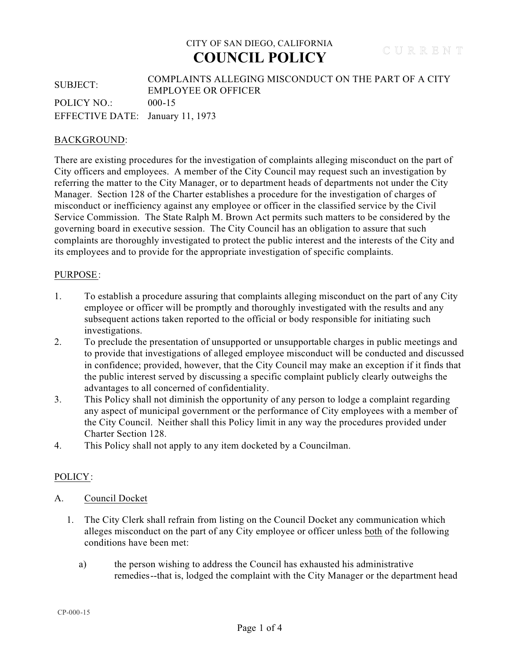# CITY OF SAN DIEGO, CALIFORNIA **COUNCIL POLICY**

### SUBJECT: COMPLAINTS ALLEGING MISCONDUCT ON THE PART OF A CITY EMPLOYEE OR OFFICER POLICY NO.: 000-15 EFFECTIVE DATE: January 11, 1973

### BACKGROUND:

There are existing procedures for the investigation of complaints alleging misconduct on the part of City officers and employees. A member of the City Council may request such an investigation by referring the matter to the City Manager, or to department heads of departments not under the City Manager. Section 128 of the Charter establishes a procedure for the investigation of charges of misconduct or inefficiency against any employee or officer in the classified service by the Civil Service Commission. The State Ralph M. Brown Act permits such matters to be considered by the governing board in executive session. The City Council has an obligation to assure that such complaints are thoroughly investigated to protect the public interest and the interests of the City and its employees and to provide for the appropriate investigation of specific complaints.

#### PURPOSE:

- 1. To establish a procedure assuring that complaints alleging misconduct on the part of any City employee or officer will be promptly and thoroughly investigated with the results and any subsequent actions taken reported to the official or body responsible for initiating such investigations.
- 2. To preclude the presentation of unsupported or unsupportable charges in public meetings and to provide that investigations of alleged employee misconduct will be conducted and discussed in confidence; provided, however, that the City Council may make an exception if it finds that the public interest served by discussing a specific complaint publicly clearly outweighs the advantages to all concerned of confidentiality.
- 3. This Policy shall not diminish the opportunity of any person to lodge a complaint regarding any aspect of municipal government or the performance of City employees with a member of the City Council. Neither shall this Policy limit in any way the procedures provided under Charter Section 128.
- 4. This Policy shall not apply to any item docketed by a Councilman.

### POLICY:

#### A. Council Docket

- 1. The City Clerk shall refrain from listing on the Council Docket any communication which alleges misconduct on the part of any City employee or officer unless both of the following conditions have been met:
	- a) the person wishing to address the Council has exhausted his administrative remedies--that is, lodged the complaint with the City Manager or the department head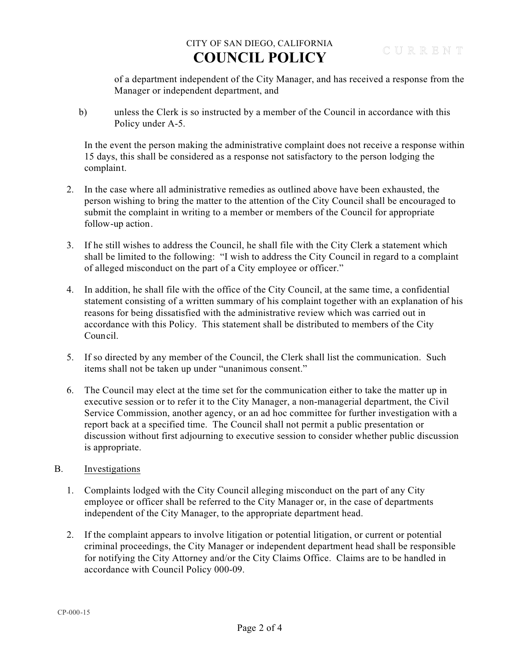# CITY OF SAN DIEGO, CALIFORNIA **COUNCIL POLICY**

of a department independent of the City Manager, and has received a response from the Manager or independent department, and

 b) unless the Clerk is so instructed by a member of the Council in accordance with this Policy under A-5.

 In the event the person making the administrative complaint does not receive a response within 15 days, this shall be considered as a response not satisfactory to the person lodging the complaint.

- 2. In the case where all administrative remedies as outlined above have been exhausted, the person wishing to bring the matter to the attention of the City Council shall be encouraged to submit the complaint in writing to a member or members of the Council for appropriate follow-up action.
- 3. If he still wishes to address the Council, he shall file with the City Clerk a statement which shall be limited to the following: "I wish to address the City Council in regard to a complaint of alleged misconduct on the part of a City employee or officer."
- 4. In addition, he shall file with the office of the City Council, at the same time, a confidential statement consisting of a written summary of his complaint together with an explanation of his reasons for being dissatisfied with the administrative review which was carried out in accordance with this Policy. This statement shall be distributed to members of the City Council.
- 5. If so directed by any member of the Council, the Clerk shall list the communication. Such items shall not be taken up under "unanimous consent."
- 6. The Council may elect at the time set for the communication either to take the matter up in executive session or to refer it to the City Manager, a non-managerial department, the Civil Service Commission, another agency, or an ad hoc committee for further investigation with a report back at a specified time. The Council shall not permit a public presentation or discussion without first adjourning to executive session to consider whether public discussion is appropriate.

### B. Investigations

- 1. Complaints lodged with the City Council alleging misconduct on the part of any City employee or officer shall be referred to the City Manager or, in the case of departments independent of the City Manager, to the appropriate department head.
- 2. If the complaint appears to involve litigation or potential litigation, or current or potential criminal proceedings, the City Manager or independent department head shall be responsible for notifying the City Attorney and/or the City Claims Office. Claims are to be handled in accordance with Council Policy 000-09.